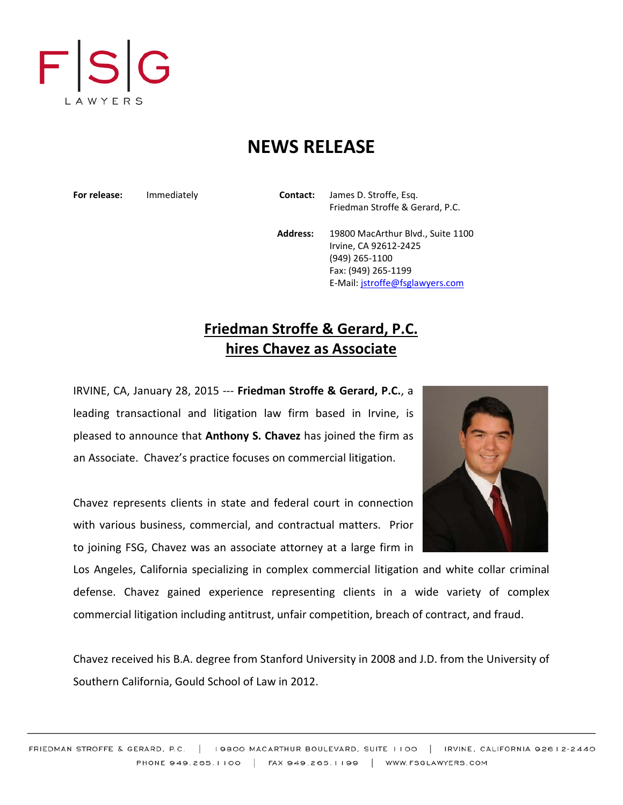

## **NEWS RELEASE**

**For release:** Immediately **Contact:** James D. Stroffe, Esq. Friedman Stroffe & Gerard, P.C.

> **Address:** 19800 MacArthur Blvd., Suite 1100 Irvine, CA 92612-2425 (949) 265-1100 Fax: (949) 265-1199 E-Mail: [jstroffe@fsglawyers.com](mailto:jstroffe@fsglawyers.com)

## **Friedman Stroffe & Gerard, P.C. hires Chavez as Associate**

IRVINE, CA, January 28, 2015 --- **Friedman Stroffe & Gerard, P.C.**, a leading transactional and litigation law firm based in Irvine, is pleased to announce that **Anthony S. Chavez** has joined the firm as an Associate. Chavez's practice focuses on commercial litigation.

Chavez represents clients in state and federal court in connection with various business, commercial, and contractual matters. Prior to joining FSG, Chavez was an associate attorney at a large firm in

Los Angeles, California specializing in complex commercial litigation and white collar criminal defense. Chavez gained experience representing clients in a wide variety of complex commercial litigation including antitrust, unfair competition, breach of contract, and fraud.

Chavez received his B.A. degree from Stanford University in 2008 and J.D. from the University of Southern California, Gould School of Law in 2012.